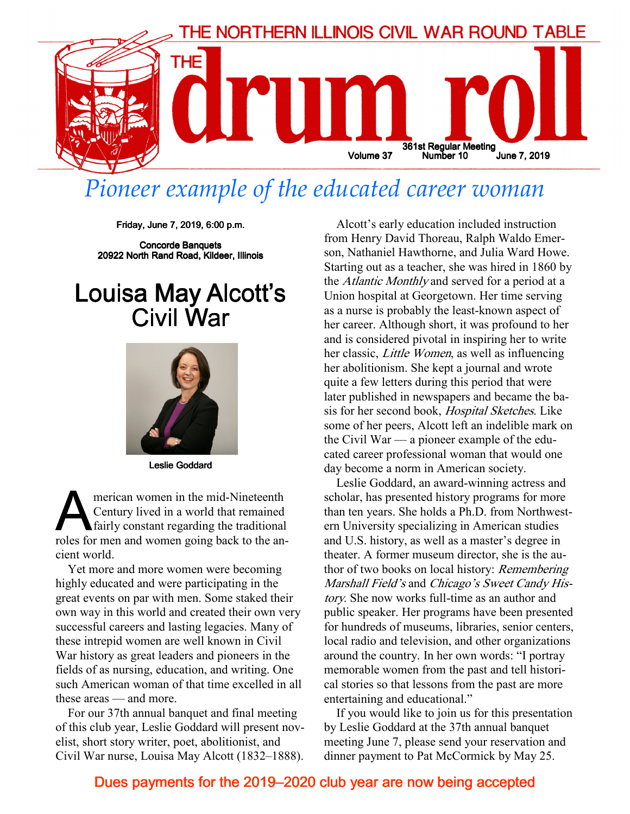

### Pioneer example of the educated career woman

Friday, June 7, 2019, 6:00 p.m.

Concorde Banquets 20922 North Rand Road, Kildeer, Illinois

### Louisa May Alcott's Civil War



Leslie Goddard

**A EXECUTE CONFIDENT CONTROVER CONTROLLER CONTROLLER CONTROLLER SURFERENCE AND A SET CONTROLLER SURFERENCE AND A SET CONTROLLER SURFERENCE AND THE SET CONTROLLER SURFERENCE AND THE SET CONTROLLER SURFERENCE AND THE SET CON** merican women in the mid-Nineteenth Century lived in a world that remained fairly constant regarding the traditional cient world.

Yet more and more women were becoming highly educated and were participating in the great events on par with men. Some staked their own way in this world and created their own very successful careers and lasting legacies. Many of these intrepid women are well known in Civil War history as great leaders and pioneers in the fields of as nursing, education, and writing. One such American woman of that time excelled in all these areas — and more.

For our 37th annual banquet and final meeting of this club year, Leslie Goddard will present novelist, short story writer, poet, abolitionist, and Civil War nurse, Louisa May Alcott (1832–1888).

Alcott's early education included instruction from Henry David Thoreau, Ralph Waldo Emerson, Nathaniel Hawthorne, and Julia Ward Howe. Starting out as a teacher, she was hired in 1860 by the Atlantic Monthly and served for a period at a Union hospital at Georgetown. Her time serving as a nurse is probably the least-known aspect of her career. Although short, it was profound to her and is considered pivotal in inspiring her to write her classic, Little Women, as well as influencing her abolitionism. She kept a journal and wrote quite a few letters during this period that were later published in newspapers and became the basis for her second book, Hospital Sketches. Like some of her peers, Alcott left an indelible mark on the Civil War — a pioneer example of the educated career professional woman that would one day become a norm in American society.

Leslie Goddard, an award-winning actress and scholar, has presented history programs for more than ten years. She holds a Ph.D. from Northwestern University specializing in American studies and U.S. history, as well as a master's degree in theater. A former museum director, she is the author of two books on local history: Remembering Marshall Field's and Chicago's Sweet Candy History. She now works full-time as an author and public speaker. Her programs have been presented for hundreds of museums, libraries, senior centers, local radio and television, and other organizations around the country. In her own words: "I portray memorable women from the past and tell historical stories so that lessons from the past are more entertaining and educational."

If you would like to join us for this presentation by Leslie Goddard at the 37th annual banquet meeting June 7, please send your reservation and dinner payment to Pat McCormick by May 25.

#### Dues payments for the 2019–2020 club year are now being accepted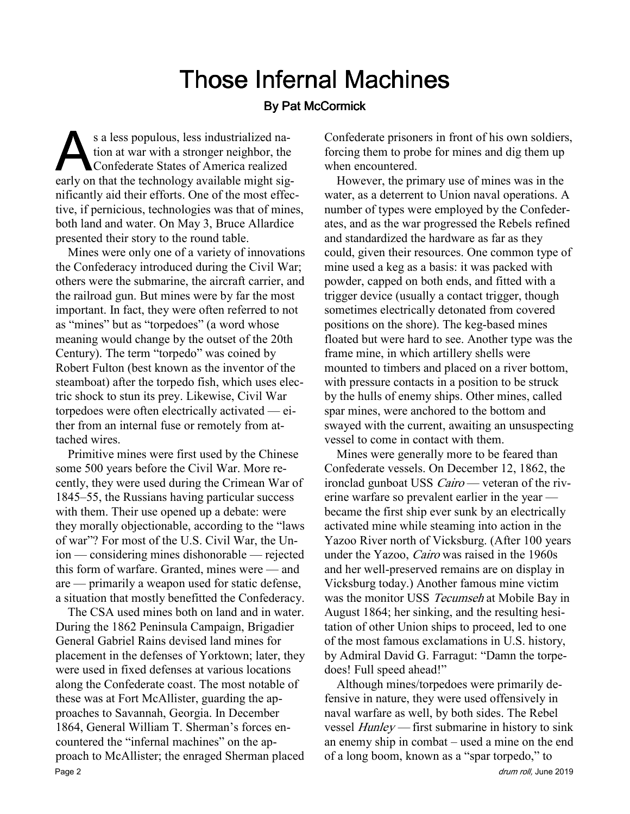# **Those Infernal Machines**

#### **By Pat McCormick**

s a less populous, less industrialized nation at war with a stronger neighbor, the Confederate States of America realized early on that the technology available might sigs a less populous, less industrialized nation at war with a stronger neighbor, the Confederate States of America realized nificantly aid their efforts. One of the most effective, if pernicious, technologies was that of mines, both land and water. On May 3, Bruce Allardice presented their story to the round table.

Mines were only one of a variety of innovations the Confederacy introduced during the Civil War; others were the submarine, the aircraft carrier, and the railroad gun. But mines were by far the most important. In fact, they were often referred to not as "mines" but as "torpedoes" (a word whose meaning would change by the outset of the 20th Century). The term "torpedo" was coined by Robert Fulton (best known as the inventor of the steamboat) after the torpedo fish, which uses electric shock to stun its prey. Likewise, Civil War torpedoes were often electrically activated — either from an internal fuse or remotely from attached wires.

Primitive mines were first used by the Chinese some 500 years before the Civil War. More recently, they were used during the Crimean War of 1845–55, the Russians having particular success with them. Their use opened up a debate: were they morally objectionable, according to the "laws of war"? For most of the U.S. Civil War, the Union — considering mines dishonorable — rejected this form of warfare. Granted, mines were — and are — primarily a weapon used for static defense, a situation that mostly benefitted the Confederacy.

The CSA used mines both on land and in water. During the 1862 Peninsula Campaign, Brigadier General Gabriel Rains devised land mines for placement in the defenses of Yorktown; later, they were used in fixed defenses at various locations along the Confederate coast. The most notable of these was at Fort McAllister, guarding the approaches to Savannah, Georgia. In December 1864, General William T. Sherman's forces encountered the "infernal machines" on the approach to McAllister; the enraged Sherman placed Page 2 drum roll, June 2019 and September 2019 and September 2019 and September 2019 and September 2019 and September 2019 and September 2019 and September 2019 and September 2019 and September 2019 and September 2019 and

Confederate prisoners in front of his own soldiers, forcing them to probe for mines and dig them up when encountered.

However, the primary use of mines was in the water, as a deterrent to Union naval operations. A number of types were employed by the Confederates, and as the war progressed the Rebels refined and standardized the hardware as far as they could, given their resources. One common type of mine used a keg as a basis: it was packed with powder, capped on both ends, and fitted with a trigger device (usually a contact trigger, though sometimes electrically detonated from covered positions on the shore). The keg-based mines floated but were hard to see. Another type was the frame mine, in which artillery shells were mounted to timbers and placed on a river bottom, with pressure contacts in a position to be struck by the hulls of enemy ships. Other mines, called spar mines, were anchored to the bottom and swayed with the current, awaiting an unsuspecting vessel to come in contact with them.

Mines were generally more to be feared than Confederate vessels. On December 12, 1862, the ironclad gunboat USS *Cairo* — veteran of the riverine warfare so prevalent earlier in the year became the first ship ever sunk by an electrically activated mine while steaming into action in the Yazoo River north of Vicksburg. (After 100 years under the Yazoo, Cairo was raised in the 1960s and her well-preserved remains are on display in Vicksburg today.) Another famous mine victim was the monitor USS Tecumseh at Mobile Bay in August 1864; her sinking, and the resulting hesitation of other Union ships to proceed, led to one of the most famous exclamations in U.S. history, by Admiral David G. Farragut: "Damn the torpedoes! Full speed ahead!"

Although mines/torpedoes were primarily defensive in nature, they were used offensively in naval warfare as well, by both sides. The Rebel vessel Hunley — first submarine in history to sink an enemy ship in combat – used a mine on the end of a long boom, known as a "spar torpedo," to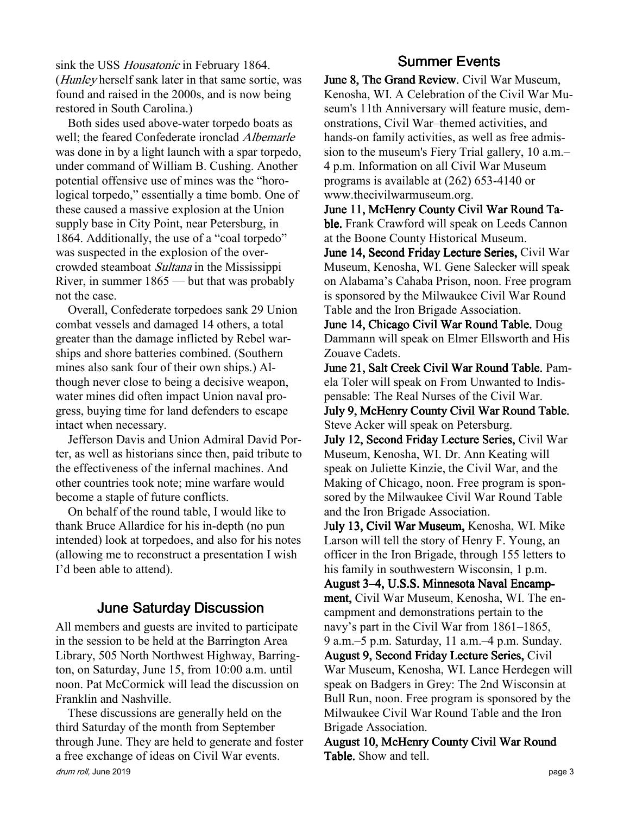sink the USS *Housatonic* in February 1864. (Hunley herself sank later in that same sortie, was found and raised in the 2000s, and is now being restored in South Carolina.)

Both sides used above-water torpedo boats as well; the feared Confederate ironclad Albemarle was done in by a light launch with a spar torpedo, under command of William B. Cushing. Another potential offensive use of mines was the "horological torpedo," essentially a time bomb. One of these caused a massive explosion at the Union supply base in City Point, near Petersburg, in 1864. Additionally, the use of a "coal torpedo" was suspected in the explosion of the overcrowded steamboat Sultana in the Mississippi River, in summer 1865 — but that was probably not the case.

Overall, Confederate torpedoes sank 29 Union combat vessels and damaged 14 others, a total greater than the damage inflicted by Rebel warships and shore batteries combined. (Southern mines also sank four of their own ships.) Although never close to being a decisive weapon, water mines did often impact Union naval progress, buying time for land defenders to escape intact when necessary.

Jefferson Davis and Union Admiral David Porter, as well as historians since then, paid tribute to the effectiveness of the infernal machines. And other countries took note; mine warfare would become a staple of future conflicts.

On behalf of the round table, I would like to thank Bruce Allardice for his in-depth (no pun intended) look at torpedoes, and also for his notes (allowing me to reconstruct a presentation I wish I'd been able to attend).

#### **June Saturday Discussion**

All members and guests are invited to participate in the session to be held at the Barrington Area Library, 505 North Northwest Highway, Barrington, on Saturday, June 15, from 10:00 a.m. until noon. Pat McCormick will lead the discussion on Franklin and Nashville.

These discussions are generally held on the third Saturday of the month from September through June. They are held to generate and foster a free exchange of ideas on Civil War events. drum roll, June 2019 **page 3** 

### **Summer Events**

June 8, The Grand Review. Civil War Museum, Kenosha, WI. A Celebration of the Civil War Museum's 11th Anniversary will feature music, demonstrations, Civil War–themed activities, and hands-on family activities, as well as free admission to the museum's Fiery Trial gallery, 10 a.m.– 4 p.m. Information on all Civil War Museum programs is available at (262) 653-4140 or www.thecivilwarmuseum.org.

June 11, McHenry County Civil War Round Table. Frank Crawford will speak on Leeds Cannon at the Boone County Historical Museum.

June 14, Second Friday Lecture Series, Civil War Museum, Kenosha, WI. Gene Salecker will speak on Alabama's Cahaba Prison, noon. Free program is sponsored by the Milwaukee Civil War Round Table and the Iron Brigade Association.

June 14, Chicago Civil War Round Table. Doug Dammann will speak on Elmer Ellsworth and His Zouave Cadets.

June 21, Salt Creek Civil War Round Table. Pamela Toler will speak on From Unwanted to Indispensable: The Real Nurses of the Civil War. July 9, McHenry County Civil War Round Table.

Steve Acker will speak on Petersburg.

July 12, Second Friday Lecture Series, Civil War Museum, Kenosha, WI. Dr. Ann Keating will speak on Juliette Kinzie, the Civil War, and the Making of Chicago, noon. Free program is sponsored by the Milwaukee Civil War Round Table and the Iron Brigade Association.

July 13, Civil War Museum, Kenosha, WI. Mike Larson will tell the story of Henry F. Young, an officer in the Iron Brigade, through 155 letters to his family in southwestern Wisconsin, 1 p.m.

August 3–4, U.S.S. Minnesota Naval Encampment, Civil War Museum, Kenosha, WI. The en campment and demonstrations pertain to the navy's part in the Civil War from 1861–1865, 9 a.m.–5 p.m. Saturday, 11 a.m.–4 p.m. Sunday. August 9, Second Friday Lecture Series, Civil War Museum, Kenosha, WI. Lance Herdegen will speak on Badgers in Grey: The 2nd Wisconsin at

Bull Run, noon. Free program is sponsored by the Milwaukee Civil War Round Table and the Iron Brigade Association.

August 10, McHenry County Civil War Round Table. Show and tell.